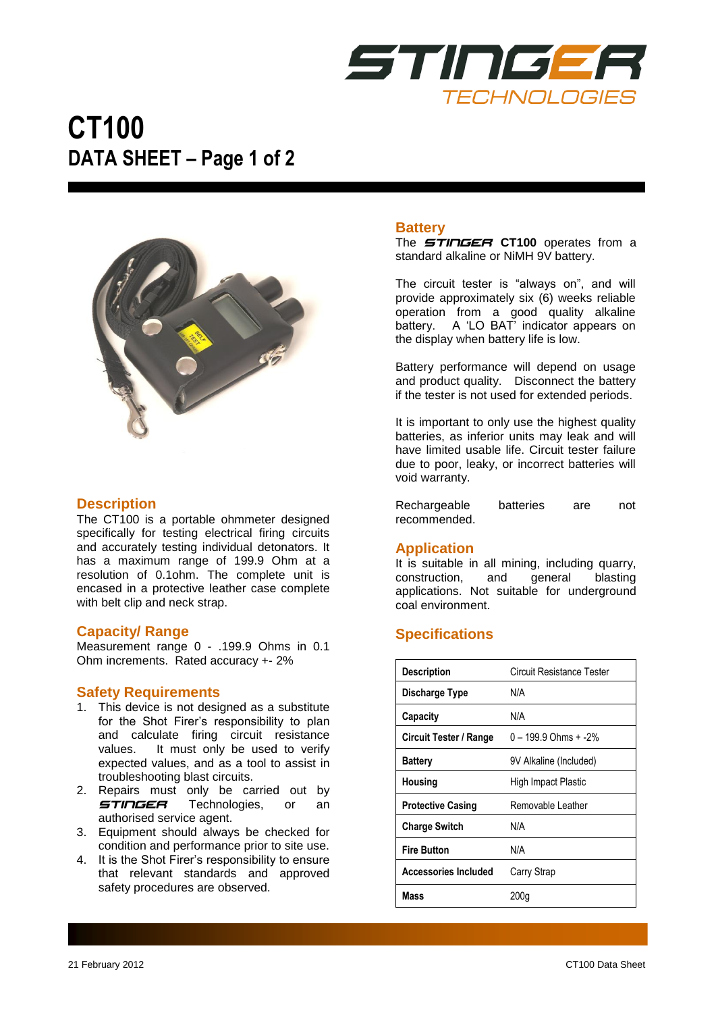

# **CT100 DATA SHEET – Page 1 of 2**



### **Description**

The CT100 is a portable ohmmeter designed specifically for testing electrical firing circuits and accurately testing individual detonators. It has a maximum range of 199.9 Ohm at a resolution of 0.1ohm. The complete unit is encased in a protective leather case complete with belt clip and neck strap.

### **Capacity/ Range**

Measurement range 0 - .199.9 Ohms in 0.1 Ohm increments. Rated accuracy +- 2%

### **Safety Requirements**

- 1. This device is not designed as a substitute for the Shot Firer's responsibility to plan and calculate firing circuit resistance values. It must only be used to verify expected values, and as a tool to assist in troubleshooting blast circuits.
- 2. Repairs must only be carried out by **STINGER** Technologies, or an authorised service agent.
- 3. Equipment should always be checked for condition and performance prior to site use.
- 4. It is the Shot Firer's responsibility to ensure that relevant standards and approved safety procedures are observed.

### **Battery**

The *STINGER* **CT100** operates from a standard alkaline or NiMH 9V battery.

The circuit tester is "always on", and will provide approximately six (6) weeks reliable operation from a good quality alkaline battery. A 'LO BAT' indicator appears on the display when battery life is low.

Battery performance will depend on usage and product quality. Disconnect the battery if the tester is not used for extended periods.

It is important to only use the highest quality batteries, as inferior units may leak and will have limited usable life. Circuit tester failure due to poor, leaky, or incorrect batteries will void warranty.

Rechargeable batteries are not recommended.

### **Application**

It is suitable in all mining, including quarry, construction, and general blasting applications. Not suitable for underground coal environment.

### **Specifications**

| <b>Description</b>          | Circuit Resistance Tester |
|-----------------------------|---------------------------|
| Discharge Type              | N/A                       |
| Capacity                    | N/A                       |
| Circuit Tester / Range      | $0 - 199.9$ Ohms $+ -2\%$ |
| <b>Battery</b>              | 9V Alkaline (Included)    |
| Housing                     | High Impact Plastic       |
| <b>Protective Casing</b>    | Removable Leather         |
| <b>Charge Switch</b>        | N/A                       |
| <b>Fire Button</b>          | N/A                       |
| <b>Accessories Included</b> | Carry Strap               |
| Mass                        | 200q                      |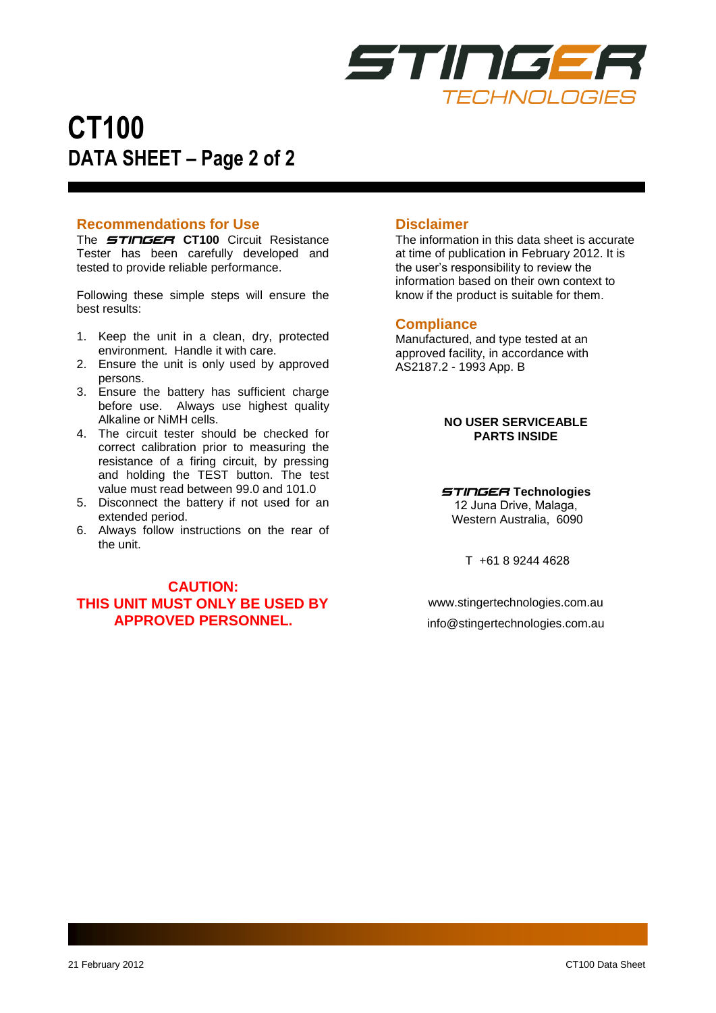

# **CT100 DATA SHEET – Page 2 of 2**

### **Recommendations for Use**

The *STINGER* **CT100** Circuit Resistance Tester has been carefully developed and tested to provide reliable performance.

Following these simple steps will ensure the best results:

- 1. Keep the unit in a clean, dry, protected environment. Handle it with care.
- 2. Ensure the unit is only used by approved persons.
- 3. Ensure the battery has sufficient charge before use. Always use highest quality Alkaline or NiMH cells.
- 4. The circuit tester should be checked for correct calibration prior to measuring the resistance of a firing circuit, by pressing and holding the TEST button. The test value must read between 99.0 and 101.0
- 5. Disconnect the battery if not used for an extended period.
- 6. Always follow instructions on the rear of the unit.

### **CAUTION: THIS UNIT MUST ONLY BE USED BY APPROVED PERSONNEL.**

### **Disclaimer**

The information in this data sheet is accurate at time of publication in February 2012. It is the user's responsibility to review the information based on their own context to know if the product is suitable for them.

### **Compliance**

Manufactured, and type tested at an approved facility, in accordance with AS2187.2 - 1993 App. B

> **NO USER SERVICEABLE PARTS INSIDE**

*STINGER* **Technologies** 12 Juna Drive, Malaga, Western Australia, 6090

T +61 8 9244 4628

www.stingertechnologies.com.au [info@stingertechnologies.com.au](mailto:info@stingertechnologies.com.au)